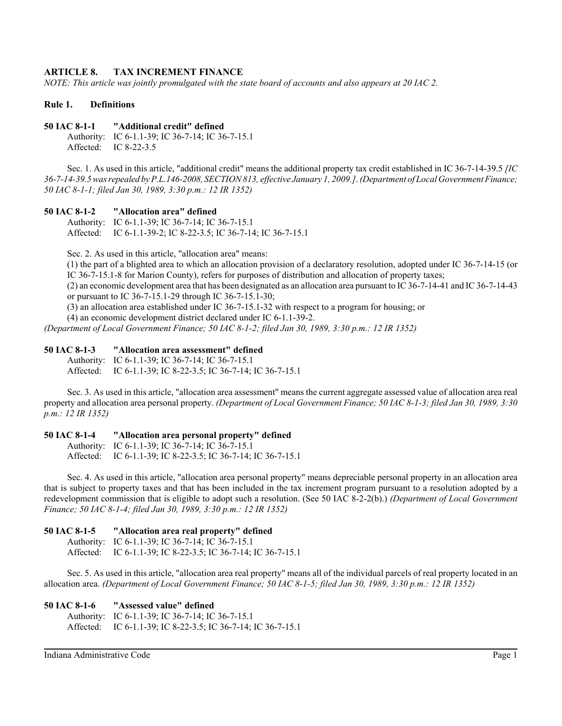# **ARTICLE 8. TAX INCREMENT FINANCE**

*NOTE: This article was jointly promulgated with the state board of accounts and also appears at 20 IAC 2.*

### **Rule 1. Definitions**

### **50 IAC 8-1-1 "Additional credit" defined**

Authority: IC 6-1.1-39; IC 36-7-14; IC 36-7-15.1 Affected: IC 8-22-3.5

Sec. 1. As used in this article, "additional credit" means the additional property tax credit established in IC 36-7-14-39.5 *[IC 36-7-14-39.5 was repealed by P.L.146-2008, SECTION 813, effective January 1, 2009.]*. *(Department of Local Government Finance; 50 IAC 8-1-1; filed Jan 30, 1989, 3:30 p.m.: 12 IR 1352)*

### **50 IAC 8-1-2 "Allocation area" defined**

Authority: IC 6-1.1-39; IC 36-7-14; IC 36-7-15.1 Affected: IC 6-1.1-39-2; IC 8-22-3.5; IC 36-7-14; IC 36-7-15.1

Sec. 2. As used in this article, "allocation area" means:

(1) the part of a blighted area to which an allocation provision of a declaratory resolution, adopted under IC 36-7-14-15 (or IC 36-7-15.1-8 for Marion County), refers for purposes of distribution and allocation of property taxes;

(2) an economic development area that has been designated as an allocation area pursuant to IC 36-7-14-41 and IC 36-7-14-43 or pursuant to IC 36-7-15.1-29 through IC 36-7-15.1-30;

(3) an allocation area established under IC 36-7-15.1-32 with respect to a program for housing; or

(4) an economic development district declared under IC 6-1.1-39-2.

*(Department of Local Government Finance; 50 IAC 8-1-2; filed Jan 30, 1989, 3:30 p.m.: 12 IR 1352)*

# **50 IAC 8-1-3 "Allocation area assessment" defined**

Authority: IC 6-1.1-39; IC 36-7-14; IC 36-7-15.1 Affected: IC 6-1.1-39; IC 8-22-3.5; IC 36-7-14; IC 36-7-15.1

Sec. 3. As used in this article, "allocation area assessment" means the current aggregate assessed value of allocation area real property and allocation area personal property. *(Department of Local Government Finance; 50 IAC 8-1-3; filed Jan 30, 1989, 3:30 p.m.: 12 IR 1352)*

# **50 IAC 8-1-4 "Allocation area personal property" defined**

Authority: IC 6-1.1-39; IC 36-7-14; IC 36-7-15.1 Affected: IC 6-1.1-39; IC 8-22-3.5; IC 36-7-14; IC 36-7-15.1

Sec. 4. As used in this article, "allocation area personal property" means depreciable personal property in an allocation area that is subject to property taxes and that has been included in the tax increment program pursuant to a resolution adopted by a redevelopment commission that is eligible to adopt such a resolution. (See 50 IAC 8-2-2(b).) *(Department of Local Government Finance; 50 IAC 8-1-4; filed Jan 30, 1989, 3:30 p.m.: 12 IR 1352)*

**50 IAC 8-1-5 "Allocation area real property" defined** Authority: IC 6-1.1-39; IC 36-7-14; IC 36-7-15.1 Affected: IC 6-1.1-39; IC 8-22-3.5; IC 36-7-14; IC 36-7-15.1

Sec. 5. As used in this article, "allocation area real property" means all of the individual parcels of real property located in an allocation area. *(Department of Local Government Finance; 50 IAC 8-1-5; filed Jan 30, 1989, 3:30 p.m.: 12 IR 1352)*

### **50 IAC 8-1-6 "Assessed value" defined**

Authority: IC 6-1.1-39; IC 36-7-14; IC 36-7-15.1 Affected: IC 6-1.1-39; IC 8-22-3.5; IC 36-7-14; IC 36-7-15.1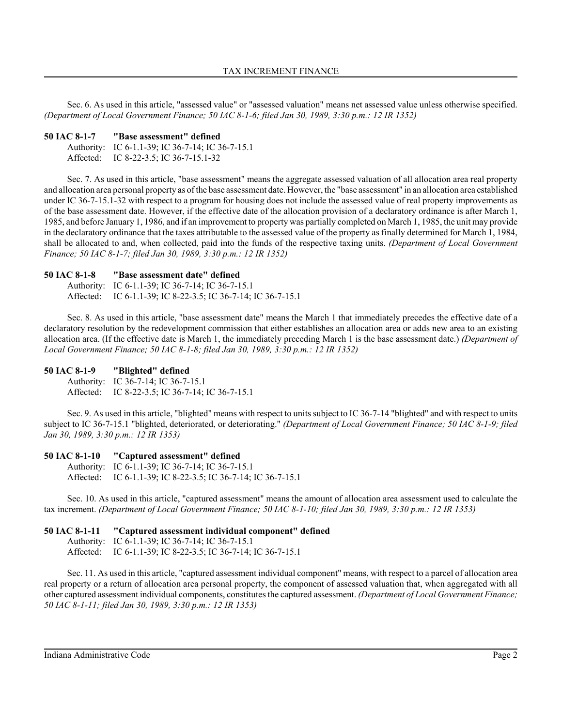Sec. 6. As used in this article, "assessed value" or "assessed valuation" means net assessed value unless otherwise specified. *(Department of Local Government Finance; 50 IAC 8-1-6; filed Jan 30, 1989, 3:30 p.m.: 12 IR 1352)*

#### **50 IAC 8-1-7 "Base assessment" defined**

| Authority: IC 6-1.1-39; IC 36-7-14; IC 36-7-15.1 |
|--------------------------------------------------|
| Affected: IC 8-22-3.5; IC 36-7-15.1-32           |

Sec. 7. As used in this article, "base assessment" means the aggregate assessed valuation of all allocation area real property and allocation area personal property as of the base assessment date. However, the "base assessment" in an allocation area established under IC 36-7-15.1-32 with respect to a program for housing does not include the assessed value of real property improvements as of the base assessment date. However, if the effective date of the allocation provision of a declaratory ordinance is after March 1, 1985, and before January 1, 1986, and if an improvement to property was partially completed on March 1, 1985, the unit may provide in the declaratory ordinance that the taxes attributable to the assessed value of the property as finally determined for March 1, 1984, shall be allocated to and, when collected, paid into the funds of the respective taxing units. *(Department of Local Government Finance; 50 IAC 8-1-7; filed Jan 30, 1989, 3:30 p.m.: 12 IR 1352)*

### **50 IAC 8-1-8 "Base assessment date" defined**

Authority: IC 6-1.1-39; IC 36-7-14; IC 36-7-15.1 Affected: IC 6-1.1-39; IC 8-22-3.5; IC 36-7-14; IC 36-7-15.1

Sec. 8. As used in this article, "base assessment date" means the March 1 that immediately precedes the effective date of a declaratory resolution by the redevelopment commission that either establishes an allocation area or adds new area to an existing allocation area. (If the effective date is March 1, the immediately preceding March 1 is the base assessment date.) *(Department of Local Government Finance; 50 IAC 8-1-8; filed Jan 30, 1989, 3:30 p.m.: 12 IR 1352)*

### **50 IAC 8-1-9 "Blighted" defined**

Authority: IC 36-7-14; IC 36-7-15.1 Affected: IC 8-22-3.5; IC 36-7-14; IC 36-7-15.1

Sec. 9. As used in this article, "blighted" means with respect to units subject to IC 36-7-14 "blighted" and with respect to units subject to IC 36-7-15.1 "blighted, deteriorated, or deteriorating." *(Department of Local Government Finance; 50 IAC 8-1-9; filed Jan 30, 1989, 3:30 p.m.: 12 IR 1353)*

### **50 IAC 8-1-10 "Captured assessment" defined**

```
Authority: IC 6-1.1-39; IC 36-7-14; IC 36-7-15.1
Affected: IC 6-1.1-39; IC 8-22-3.5; IC 36-7-14; IC 36-7-15.1
```
Sec. 10. As used in this article, "captured assessment" means the amount of allocation area assessment used to calculate the tax increment. *(Department of Local Government Finance; 50 IAC 8-1-10; filed Jan 30, 1989, 3:30 p.m.: 12 IR 1353)*

### **50 IAC 8-1-11 "Captured assessment individual component" defined**

Authority: IC 6-1.1-39; IC 36-7-14; IC 36-7-15.1 Affected: IC 6-1.1-39; IC 8-22-3.5; IC 36-7-14; IC 36-7-15.1

Sec. 11. As used in this article, "captured assessment individual component" means, with respect to a parcel of allocation area real property or a return of allocation area personal property, the component of assessed valuation that, when aggregated with all other captured assessment individual components, constitutes the captured assessment. *(Department of Local Government Finance; 50 IAC 8-1-11; filed Jan 30, 1989, 3:30 p.m.: 12 IR 1353)*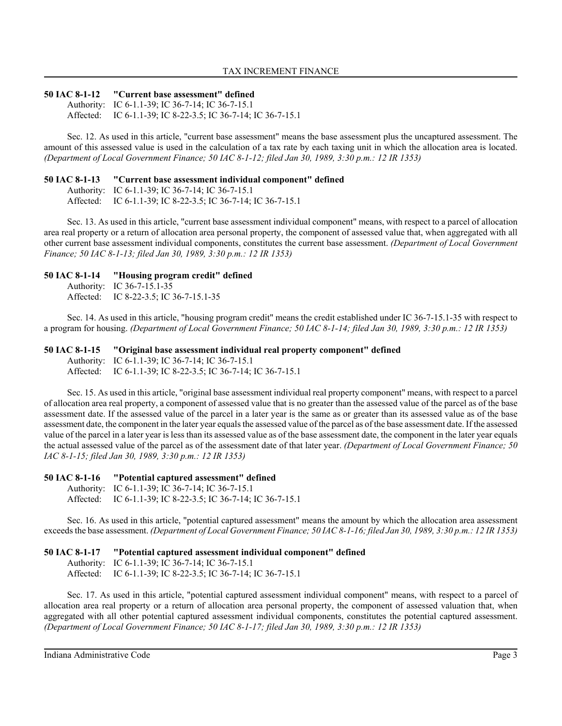### **50 IAC 8-1-12 "Current base assessment" defined**

Authority: IC 6-1.1-39; IC 36-7-14; IC 36-7-15.1 Affected: IC 6-1.1-39; IC 8-22-3.5; IC 36-7-14; IC 36-7-15.1

Sec. 12. As used in this article, "current base assessment" means the base assessment plus the uncaptured assessment. The amount of this assessed value is used in the calculation of a tax rate by each taxing unit in which the allocation area is located. *(Department of Local Government Finance; 50 IAC 8-1-12; filed Jan 30, 1989, 3:30 p.m.: 12 IR 1353)*

### **50 IAC 8-1-13 "Current base assessment individual component" defined**

Authority: IC 6-1.1-39; IC 36-7-14; IC 36-7-15.1 Affected: IC 6-1.1-39; IC 8-22-3.5; IC 36-7-14; IC 36-7-15.1

Sec. 13. As used in this article, "current base assessment individual component" means, with respect to a parcel of allocation area real property or a return of allocation area personal property, the component of assessed value that, when aggregated with all other current base assessment individual components, constitutes the current base assessment. *(Department of Local Government Finance; 50 IAC 8-1-13; filed Jan 30, 1989, 3:30 p.m.: 12 IR 1353)*

### **50 IAC 8-1-14 "Housing program credit" defined**

Authority: IC 36-7-15.1-35 Affected: IC 8-22-3.5; IC 36-7-15.1-35

Sec. 14. As used in this article, "housing program credit" means the credit established under IC 36-7-15.1-35 with respect to a program for housing. *(Department of Local Government Finance; 50 IAC 8-1-14; filed Jan 30, 1989, 3:30 p.m.: 12 IR 1353)*

**50 IAC 8-1-15 "Original base assessment individual real property component" defined** Authority: IC 6-1.1-39; IC 36-7-14; IC 36-7-15.1 Affected: IC 6-1.1-39; IC 8-22-3.5; IC 36-7-14; IC 36-7-15.1

Sec. 15. As used in this article, "original base assessment individual real property component" means, with respect to a parcel of allocation area real property, a component of assessed value that is no greater than the assessed value of the parcel as of the base assessment date. If the assessed value of the parcel in a later year is the same as or greater than its assessed value as of the base assessment date, the component in the later year equals the assessed value of the parcel as of the base assessment date. If the assessed value of the parcel in a later year is less than its assessed value as of the base assessment date, the component in the later year equals the actual assessed value of the parcel as of the assessment date of that later year. *(Department of Local Government Finance; 50 IAC 8-1-15; filed Jan 30, 1989, 3:30 p.m.: 12 IR 1353)*

# **50 IAC 8-1-16 "Potential captured assessment" defined**

Authority: IC 6-1.1-39; IC 36-7-14; IC 36-7-15.1

Affected: IC 6-1.1-39; IC 8-22-3.5; IC 36-7-14; IC 36-7-15.1

Sec. 16. As used in this article, "potential captured assessment" means the amount by which the allocation area assessment exceeds the base assessment. *(Department of Local Government Finance; 50 IAC 8-1-16; filed Jan 30, 1989, 3:30 p.m.: 12 IR 1353)*

# **50 IAC 8-1-17 "Potential captured assessment individual component" defined**

Authority: IC 6-1.1-39; IC 36-7-14; IC 36-7-15.1 Affected: IC 6-1.1-39; IC 8-22-3.5; IC 36-7-14; IC 36-7-15.1

Sec. 17. As used in this article, "potential captured assessment individual component" means, with respect to a parcel of allocation area real property or a return of allocation area personal property, the component of assessed valuation that, when aggregated with all other potential captured assessment individual components, constitutes the potential captured assessment. *(Department of Local Government Finance; 50 IAC 8-1-17; filed Jan 30, 1989, 3:30 p.m.: 12 IR 1353)*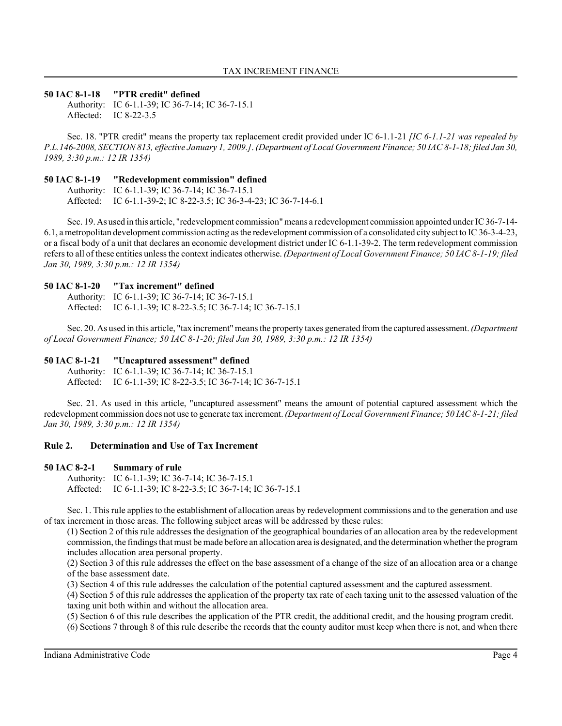### **50 IAC 8-1-18 "PTR credit" defined**

Authority: IC 6-1.1-39; IC 36-7-14; IC 36-7-15.1 Affected: IC 8-22-3.5

Sec. 18. "PTR credit" means the property tax replacement credit provided under IC 6-1.1-21 *[IC 6-1.1-21 was repealed by P.L.146-2008, SECTION 813, effective January 1, 2009.]*. *(Department of Local Government Finance; 50 IAC 8-1-18; filed Jan 30, 1989, 3:30 p.m.: 12 IR 1354)*

### **50 IAC 8-1-19 "Redevelopment commission" defined**

Authority: IC 6-1.1-39; IC 36-7-14; IC 36-7-15.1 Affected: IC 6-1.1-39-2; IC 8-22-3.5; IC 36-3-4-23; IC 36-7-14-6.1

Sec. 19. As used in this article, "redevelopment commission" means a redevelopment commission appointed under IC 36-7-14- 6.1, a metropolitan development commission acting as the redevelopment commission of a consolidated city subject to IC 36-3-4-23, or a fiscal body of a unit that declares an economic development district under IC 6-1.1-39-2. The term redevelopment commission refers to all of these entities unless the context indicates otherwise. *(Department of Local Government Finance; 50 IAC 8-1-19; filed Jan 30, 1989, 3:30 p.m.: 12 IR 1354)*

### **50 IAC 8-1-20 "Tax increment" defined**

Authority: IC 6-1.1-39; IC 36-7-14; IC 36-7-15.1 Affected: IC 6-1.1-39; IC 8-22-3.5; IC 36-7-14; IC 36-7-15.1

Sec. 20. As used in this article, "tax increment" means the property taxes generated from the captured assessment. *(Department of Local Government Finance; 50 IAC 8-1-20; filed Jan 30, 1989, 3:30 p.m.: 12 IR 1354)*

### **50 IAC 8-1-21 "Uncaptured assessment" defined**

Authority: IC 6-1.1-39; IC 36-7-14; IC 36-7-15.1 Affected: IC 6-1.1-39; IC 8-22-3.5; IC 36-7-14; IC 36-7-15.1

Sec. 21. As used in this article, "uncaptured assessment" means the amount of potential captured assessment which the redevelopment commission does not use to generate tax increment. *(Department of Local Government Finance; 50 IAC 8-1-21; filed Jan 30, 1989, 3:30 p.m.: 12 IR 1354)*

# **Rule 2. Determination and Use of Tax Increment**

### **50 IAC 8-2-1 Summary of rule**

Authority: IC 6-1.1-39; IC 36-7-14; IC 36-7-15.1 Affected: IC 6-1.1-39; IC 8-22-3.5; IC 36-7-14; IC 36-7-15.1

Sec. 1. This rule applies to the establishment of allocation areas by redevelopment commissions and to the generation and use of tax increment in those areas. The following subject areas will be addressed by these rules:

(1) Section 2 of this rule addresses the designation of the geographical boundaries of an allocation area by the redevelopment commission, the findings that must be made before an allocation area is designated, and the determination whether the program includes allocation area personal property.

(2) Section 3 of this rule addresses the effect on the base assessment of a change of the size of an allocation area or a change of the base assessment date.

(3) Section 4 of this rule addresses the calculation of the potential captured assessment and the captured assessment.

(4) Section 5 of this rule addresses the application of the property tax rate of each taxing unit to the assessed valuation of the taxing unit both within and without the allocation area.

(5) Section 6 of this rule describes the application of the PTR credit, the additional credit, and the housing program credit.

(6) Sections 7 through 8 of this rule describe the records that the county auditor must keep when there is not, and when there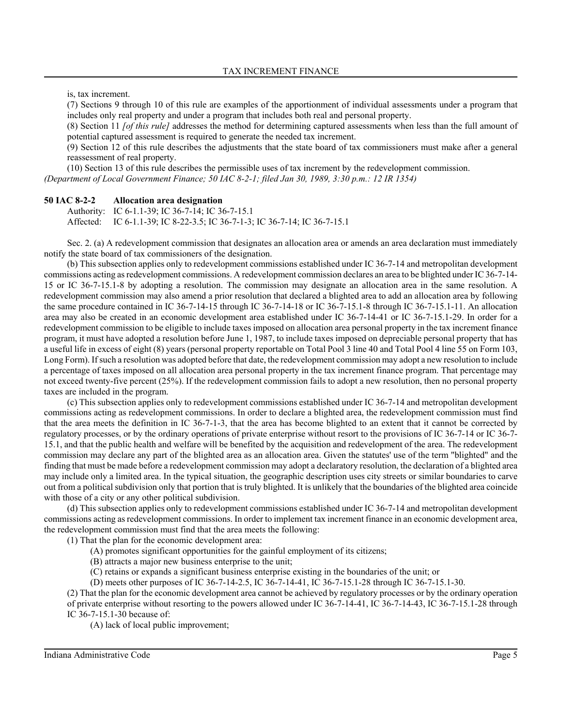is, tax increment.

(7) Sections 9 through 10 of this rule are examples of the apportionment of individual assessments under a program that includes only real property and under a program that includes both real and personal property.

(8) Section 11 *[of this rule]* addresses the method for determining captured assessments when less than the full amount of potential captured assessment is required to generate the needed tax increment.

(9) Section 12 of this rule describes the adjustments that the state board of tax commissioners must make after a general reassessment of real property.

(10) Section 13 of this rule describes the permissible uses of tax increment by the redevelopment commission.

*(Department of Local Government Finance; 50 IAC 8-2-1; filed Jan 30, 1989, 3:30 p.m.: 12 IR 1354)*

#### **50 IAC 8-2-2 Allocation area designation**

Authority: IC 6-1.1-39; IC 36-7-14; IC 36-7-15.1 Affected: IC 6-1.1-39; IC 8-22-3.5; IC 36-7-1-3; IC 36-7-14; IC 36-7-15.1

Sec. 2. (a) A redevelopment commission that designates an allocation area or amends an area declaration must immediately notify the state board of tax commissioners of the designation.

(b) This subsection applies only to redevelopment commissions established under IC 36-7-14 and metropolitan development commissions acting as redevelopment commissions. A redevelopment commission declares an area to be blighted under IC 36-7-14- 15 or IC 36-7-15.1-8 by adopting a resolution. The commission may designate an allocation area in the same resolution. A redevelopment commission may also amend a prior resolution that declared a blighted area to add an allocation area by following the same procedure contained in IC 36-7-14-15 through IC 36-7-14-18 or IC 36-7-15.1-8 through IC 36-7-15.1-11. An allocation area may also be created in an economic development area established under IC 36-7-14-41 or IC 36-7-15.1-29. In order for a redevelopment commission to be eligible to include taxes imposed on allocation area personal property in the tax increment finance program, it must have adopted a resolution before June 1, 1987, to include taxes imposed on depreciable personal property that has a useful life in excess of eight (8) years (personal property reportable on Total Pool 3 line 40 and Total Pool 4 line 55 on Form 103, Long Form). If such a resolution was adopted before that date, the redevelopment commission may adopt a new resolution to include a percentage of taxes imposed on all allocation area personal property in the tax increment finance program. That percentage may not exceed twenty-five percent (25%). If the redevelopment commission fails to adopt a new resolution, then no personal property taxes are included in the program.

(c) This subsection applies only to redevelopment commissions established under IC 36-7-14 and metropolitan development commissions acting as redevelopment commissions. In order to declare a blighted area, the redevelopment commission must find that the area meets the definition in IC 36-7-1-3, that the area has become blighted to an extent that it cannot be corrected by regulatory processes, or by the ordinary operations of private enterprise without resort to the provisions of IC 36-7-14 or IC 36-7- 15.1, and that the public health and welfare will be benefited by the acquisition and redevelopment of the area. The redevelopment commission may declare any part of the blighted area as an allocation area. Given the statutes' use of the term "blighted" and the finding that must be made before a redevelopment commission may adopt a declaratory resolution, the declaration of a blighted area may include only a limited area. In the typical situation, the geographic description uses city streets or similar boundaries to carve out from a political subdivision only that portion that is truly blighted. It is unlikely that the boundaries of the blighted area coincide with those of a city or any other political subdivision.

(d) This subsection applies only to redevelopment commissions established under IC 36-7-14 and metropolitan development commissions acting as redevelopment commissions. In order to implement tax increment finance in an economic development area, the redevelopment commission must find that the area meets the following:

(1) That the plan for the economic development area:

- (A) promotes significant opportunities for the gainful employment of its citizens;
- (B) attracts a major new business enterprise to the unit;
- (C) retains or expands a significant business enterprise existing in the boundaries of the unit; or

(D) meets other purposes of IC 36-7-14-2.5, IC 36-7-14-41, IC 36-7-15.1-28 through IC 36-7-15.1-30.

(2) That the plan for the economic development area cannot be achieved by regulatory processes or by the ordinary operation of private enterprise without resorting to the powers allowed under IC 36-7-14-41, IC 36-7-14-43, IC 36-7-15.1-28 through IC 36-7-15.1-30 because of:

(A) lack of local public improvement;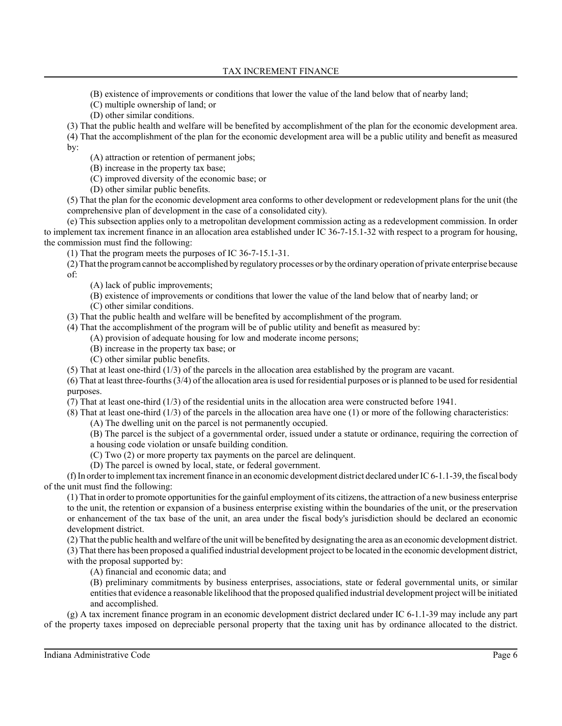TAX INCREMENT FINANCE

(B) existence of improvements or conditions that lower the value of the land below that of nearby land;

(C) multiple ownership of land; or

(D) other similar conditions.

(3) That the public health and welfare will be benefited by accomplishment of the plan for the economic development area. (4) That the accomplishment of the plan for the economic development area will be a public utility and benefit as measured by:

(A) attraction or retention of permanent jobs;

(B) increase in the property tax base;

(C) improved diversity of the economic base; or

(D) other similar public benefits.

(5) That the plan for the economic development area conforms to other development or redevelopment plans for the unit (the comprehensive plan of development in the case of a consolidated city).

(e) This subsection applies only to a metropolitan development commission acting as a redevelopment commission. In order to implement tax increment finance in an allocation area established under IC 36-7-15.1-32 with respect to a program for housing, the commission must find the following:

(1) That the program meets the purposes of IC 36-7-15.1-31.

(2) That the program cannot be accomplished by regulatory processes or by the ordinary operation of private enterprise because of:

(A) lack of public improvements;

(B) existence of improvements or conditions that lower the value of the land below that of nearby land; or

(C) other similar conditions.

(3) That the public health and welfare will be benefited by accomplishment of the program.

(4) That the accomplishment of the program will be of public utility and benefit as measured by:

(A) provision of adequate housing for low and moderate income persons;

(B) increase in the property tax base; or

(C) other similar public benefits.

(5) That at least one-third (1/3) of the parcels in the allocation area established by the program are vacant.

(6) That at least three-fourths (3/4) of the allocation area is used for residential purposes or is planned to be used for residential purposes.

(7) That at least one-third (1/3) of the residential units in the allocation area were constructed before 1941.

(8) That at least one-third (1/3) of the parcels in the allocation area have one (1) or more of the following characteristics:

(A) The dwelling unit on the parcel is not permanently occupied.

(B) The parcel is the subject of a governmental order, issued under a statute or ordinance, requiring the correction of a housing code violation or unsafe building condition.

(C) Two (2) or more property tax payments on the parcel are delinquent.

(D) The parcel is owned by local, state, or federal government.

(f) In order to implement tax increment finance in an economic development district declared under IC 6-1.1-39, the fiscal body of the unit must find the following:

(1) That in order to promote opportunities for the gainful employment of its citizens, the attraction of a new business enterprise to the unit, the retention or expansion of a business enterprise existing within the boundaries of the unit, or the preservation or enhancement of the tax base of the unit, an area under the fiscal body's jurisdiction should be declared an economic development district.

(2) That the public health and welfare of the unit will be benefited by designating the area as an economic development district. (3) That there has been proposed a qualified industrial development project to be located in the economic development district,

with the proposal supported by:

(A) financial and economic data; and

(B) preliminary commitments by business enterprises, associations, state or federal governmental units, or similar entities that evidence a reasonable likelihood that the proposed qualified industrial development project will be initiated and accomplished.

(g) A tax increment finance program in an economic development district declared under IC 6-1.1-39 may include any part of the property taxes imposed on depreciable personal property that the taxing unit has by ordinance allocated to the district.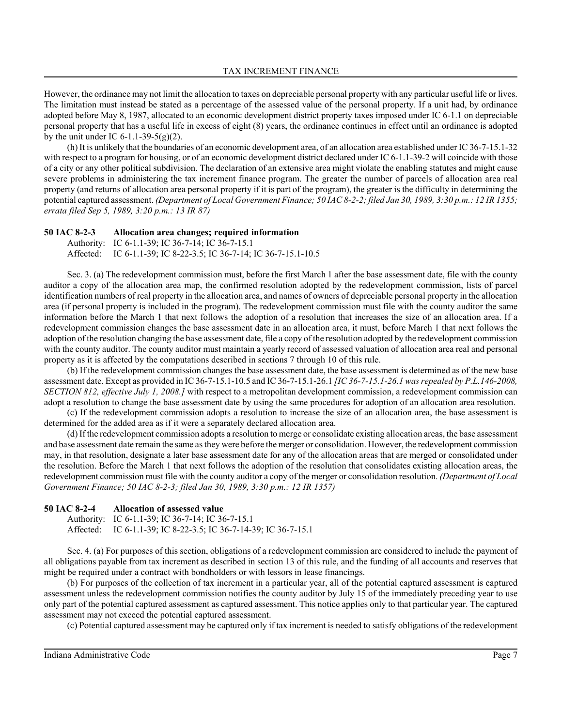However, the ordinance may not limit the allocation to taxes on depreciable personal property with any particular useful life or lives. The limitation must instead be stated as a percentage of the assessed value of the personal property. If a unit had, by ordinance adopted before May 8, 1987, allocated to an economic development district property taxes imposed under IC 6-1.1 on depreciable personal property that has a useful life in excess of eight (8) years, the ordinance continues in effect until an ordinance is adopted by the unit under IC 6-1.1-39-5(g)(2).

(h) It is unlikely that the boundaries of an economic development area, of an allocation area established under IC 36-7-15.1-32 with respect to a program for housing, or of an economic development district declared under IC 6-1.1-39-2 will coincide with those of a city or any other political subdivision. The declaration of an extensive area might violate the enabling statutes and might cause severe problems in administering the tax increment finance program. The greater the number of parcels of allocation area real property (and returns of allocation area personal property if it is part of the program), the greater is the difficulty in determining the potential captured assessment. *(Department of Local Government Finance; 50 IAC 8-2-2; filed Jan 30, 1989, 3:30 p.m.: 12 IR 1355; errata filed Sep 5, 1989, 3:20 p.m.: 13 IR 87)*

### **50 IAC 8-2-3 Allocation area changes; required information**

Authority: IC 6-1.1-39; IC 36-7-14; IC 36-7-15.1

Affected: IC 6-1.1-39; IC 8-22-3.5; IC 36-7-14; IC 36-7-15.1-10.5

Sec. 3. (a) The redevelopment commission must, before the first March 1 after the base assessment date, file with the county auditor a copy of the allocation area map, the confirmed resolution adopted by the redevelopment commission, lists of parcel identification numbers of real property in the allocation area, and names of owners of depreciable personal property in the allocation area (if personal property is included in the program). The redevelopment commission must file with the county auditor the same information before the March 1 that next follows the adoption of a resolution that increases the size of an allocation area. If a redevelopment commission changes the base assessment date in an allocation area, it must, before March 1 that next follows the adoption of the resolution changing the base assessment date, file a copy of the resolution adopted by the redevelopment commission with the county auditor. The county auditor must maintain a yearly record of assessed valuation of allocation area real and personal property as it is affected by the computations described in sections 7 through 10 of this rule.

(b) If the redevelopment commission changes the base assessment date, the base assessment is determined as of the new base assessment date. Except as provided in IC 36-7-15.1-10.5 and IC 36-7-15.1-26.1 *[IC 36-7-15.1-26.1 was repealed by P.L.146-2008, SECTION 812, effective July 1, 2008.]* with respect to a metropolitan development commission, a redevelopment commission can adopt a resolution to change the base assessment date by using the same procedures for adoption of an allocation area resolution.

(c) If the redevelopment commission adopts a resolution to increase the size of an allocation area, the base assessment is determined for the added area as if it were a separately declared allocation area.

(d) If the redevelopment commission adopts a resolution to merge or consolidate existing allocation areas, the base assessment and base assessment date remain the same as they were before the merger or consolidation. However, the redevelopment commission may, in that resolution, designate a later base assessment date for any of the allocation areas that are merged or consolidated under the resolution. Before the March 1 that next follows the adoption of the resolution that consolidates existing allocation areas, the redevelopment commission must file with the county auditor a copy of the merger or consolidation resolution. *(Department of Local Government Finance; 50 IAC 8-2-3; filed Jan 30, 1989, 3:30 p.m.: 12 IR 1357)*

### **50 IAC 8-2-4 Allocation of assessed value**

Authority: IC 6-1.1-39; IC 36-7-14; IC 36-7-15.1 Affected: IC 6-1.1-39; IC 8-22-3.5; IC 36-7-14-39; IC 36-7-15.1

Sec. 4. (a) For purposes of this section, obligations of a redevelopment commission are considered to include the payment of all obligations payable from tax increment as described in section 13 of this rule, and the funding of all accounts and reserves that might be required under a contract with bondholders or with lessors in lease financings.

(b) For purposes of the collection of tax increment in a particular year, all of the potential captured assessment is captured assessment unless the redevelopment commission notifies the county auditor by July 15 of the immediately preceding year to use only part of the potential captured assessment as captured assessment. This notice applies only to that particular year. The captured assessment may not exceed the potential captured assessment.

(c) Potential captured assessment may be captured only if tax increment is needed to satisfy obligations of the redevelopment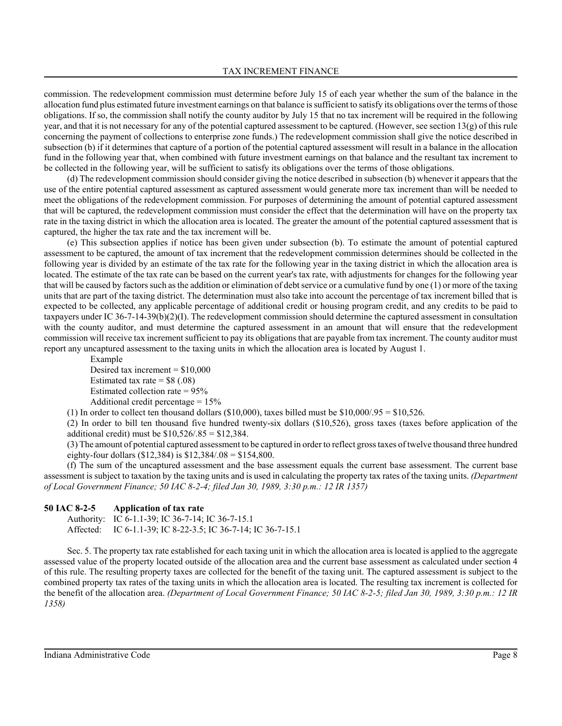commission. The redevelopment commission must determine before July 15 of each year whether the sum of the balance in the allocation fund plus estimated future investment earnings on that balance is sufficient to satisfy its obligations over the terms of those obligations. If so, the commission shall notify the county auditor by July 15 that no tax increment will be required in the following year, and that it is not necessary for any of the potential captured assessment to be captured. (However, see section 13(g) of this rule concerning the payment of collections to enterprise zone funds.) The redevelopment commission shall give the notice described in subsection (b) if it determines that capture of a portion of the potential captured assessment will result in a balance in the allocation fund in the following year that, when combined with future investment earnings on that balance and the resultant tax increment to be collected in the following year, will be sufficient to satisfy its obligations over the terms of those obligations.

(d) The redevelopment commission should consider giving the notice described in subsection (b) whenever it appears that the use of the entire potential captured assessment as captured assessment would generate more tax increment than will be needed to meet the obligations of the redevelopment commission. For purposes of determining the amount of potential captured assessment that will be captured, the redevelopment commission must consider the effect that the determination will have on the property tax rate in the taxing district in which the allocation area is located. The greater the amount of the potential captured assessment that is captured, the higher the tax rate and the tax increment will be.

(e) This subsection applies if notice has been given under subsection (b). To estimate the amount of potential captured assessment to be captured, the amount of tax increment that the redevelopment commission determines should be collected in the following year is divided by an estimate of the tax rate for the following year in the taxing district in which the allocation area is located. The estimate of the tax rate can be based on the current year's tax rate, with adjustments for changes for the following year that will be caused by factors such as the addition or elimination of debt service or a cumulative fund by one (1) or more of the taxing units that are part of the taxing district. The determination must also take into account the percentage of tax increment billed that is expected to be collected, any applicable percentage of additional credit or housing program credit, and any credits to be paid to taxpayers under IC 36-7-14-39(b)(2)(I). The redevelopment commission should determine the captured assessment in consultation with the county auditor, and must determine the captured assessment in an amount that will ensure that the redevelopment commission will receive tax increment sufficient to pay its obligations that are payable from tax increment. The county auditor must report any uncaptured assessment to the taxing units in which the allocation area is located by August 1.

Example

Desired tax increment  $= $10,000$ Estimated tax rate  $=$  \$8 (.08) Estimated collection rate = 95% Additional credit percentage  $= 15\%$ 

(1) In order to collect ten thousand dollars (\$10,000), taxes billed must be  $$10,000/.95 = $10,526$ .

(2) In order to bill ten thousand five hundred twenty-six dollars (\$10,526), gross taxes (taxes before application of the additional credit) must be  $$10,526/.85 = $12,384$ .

(3) The amount of potential captured assessment to be captured in order to reflect gross taxes of twelve thousand three hundred eighty-four dollars (\$12,384) is  $$12,384/.08 = $154,800$ .

(f) The sum of the uncaptured assessment and the base assessment equals the current base assessment. The current base assessment is subject to taxation by the taxing units and is used in calculating the property tax rates of the taxing units. *(Department of Local Government Finance; 50 IAC 8-2-4; filed Jan 30, 1989, 3:30 p.m.: 12 IR 1357)*

# **50 IAC 8-2-5 Application of tax rate**

Authority: IC 6-1.1-39; IC 36-7-14; IC 36-7-15.1 Affected: IC 6-1.1-39; IC 8-22-3.5; IC 36-7-14; IC 36-7-15.1

Sec. 5. The property tax rate established for each taxing unit in which the allocation area is located is applied to the aggregate assessed value of the property located outside of the allocation area and the current base assessment as calculated under section 4 of this rule. The resulting property taxes are collected for the benefit of the taxing unit. The captured assessment is subject to the combined property tax rates of the taxing units in which the allocation area is located. The resulting tax increment is collected for the benefit of the allocation area. *(Department of Local Government Finance; 50 IAC 8-2-5; filed Jan 30, 1989, 3:30 p.m.: 12 IR 1358)*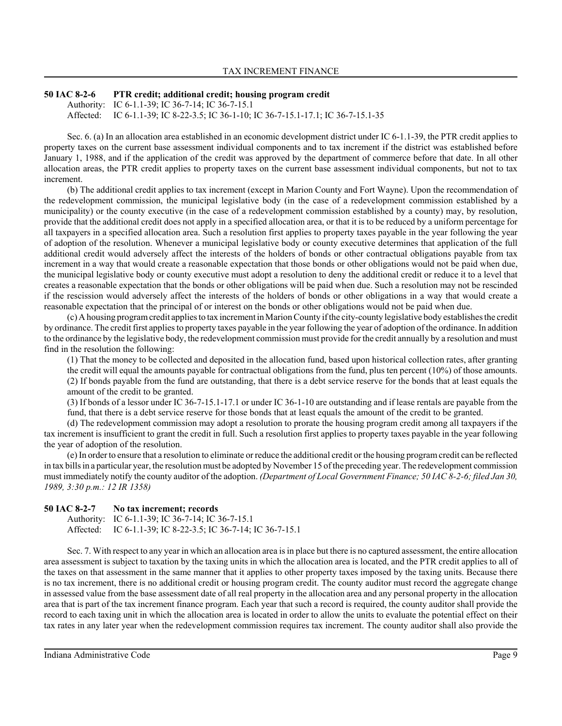# **50 IAC 8-2-6 PTR credit; additional credit; housing program credit**

Authority: IC 6-1.1-39; IC 36-7-14; IC 36-7-15.1 Affected: IC 6-1.1-39; IC 8-22-3.5; IC 36-1-10; IC 36-7-15.1-17.1; IC 36-7-15.1-35

Sec. 6. (a) In an allocation area established in an economic development district under IC 6-1.1-39, the PTR credit applies to property taxes on the current base assessment individual components and to tax increment if the district was established before January 1, 1988, and if the application of the credit was approved by the department of commerce before that date. In all other allocation areas, the PTR credit applies to property taxes on the current base assessment individual components, but not to tax increment.

(b) The additional credit applies to tax increment (except in Marion County and Fort Wayne). Upon the recommendation of the redevelopment commission, the municipal legislative body (in the case of a redevelopment commission established by a municipality) or the county executive (in the case of a redevelopment commission established by a county) may, by resolution, provide that the additional credit does not apply in a specified allocation area, or that it is to be reduced by a uniform percentage for all taxpayers in a specified allocation area. Such a resolution first applies to property taxes payable in the year following the year of adoption of the resolution. Whenever a municipal legislative body or county executive determines that application of the full additional credit would adversely affect the interests of the holders of bonds or other contractual obligations payable from tax increment in a way that would create a reasonable expectation that those bonds or other obligations would not be paid when due, the municipal legislative body or county executive must adopt a resolution to deny the additional credit or reduce it to a level that creates a reasonable expectation that the bonds or other obligations will be paid when due. Such a resolution may not be rescinded if the rescission would adversely affect the interests of the holders of bonds or other obligations in a way that would create a reasonable expectation that the principal of or interest on the bonds or other obligations would not be paid when due.

(c) A housing program credit applies to tax increment in Marion County if the city-county legislative body establishes the credit by ordinance. The credit first applies to property taxes payable in the year following the year of adoption of the ordinance. In addition to the ordinance by the legislative body, the redevelopment commission must provide for the credit annually by a resolution and must find in the resolution the following:

(1) That the money to be collected and deposited in the allocation fund, based upon historical collection rates, after granting the credit will equal the amounts payable for contractual obligations from the fund, plus ten percent (10%) of those amounts. (2) If bonds payable from the fund are outstanding, that there is a debt service reserve for the bonds that at least equals the amount of the credit to be granted.

(3) If bonds of a lessor under IC 36-7-15.1-17.1 or under IC 36-1-10 are outstanding and if lease rentals are payable from the fund, that there is a debt service reserve for those bonds that at least equals the amount of the credit to be granted.

(d) The redevelopment commission may adopt a resolution to prorate the housing program credit among all taxpayers if the tax increment is insufficient to grant the credit in full. Such a resolution first applies to property taxes payable in the year following the year of adoption of the resolution.

(e) In order to ensure that a resolution to eliminate or reduce the additional credit or the housing program credit can be reflected in tax bills in a particular year, the resolution must be adopted by November 15 of the preceding year. The redevelopment commission must immediately notify the county auditor of the adoption. *(Department of Local Government Finance; 50 IAC 8-2-6; filed Jan 30, 1989, 3:30 p.m.: 12 IR 1358)*

# **50 IAC 8-2-7 No tax increment; records**

Authority: IC 6-1.1-39; IC 36-7-14; IC 36-7-15.1 Affected: IC 6-1.1-39; IC 8-22-3.5; IC 36-7-14; IC 36-7-15.1

Sec. 7. With respect to any year in which an allocation area is in place but there is no captured assessment, the entire allocation area assessment is subject to taxation by the taxing units in which the allocation area is located, and the PTR credit applies to all of the taxes on that assessment in the same manner that it applies to other property taxes imposed by the taxing units. Because there is no tax increment, there is no additional credit or housing program credit. The county auditor must record the aggregate change in assessed value from the base assessment date of all real property in the allocation area and any personal property in the allocation area that is part of the tax increment finance program. Each year that such a record is required, the county auditor shall provide the record to each taxing unit in which the allocation area is located in order to allow the units to evaluate the potential effect on their tax rates in any later year when the redevelopment commission requires tax increment. The county auditor shall also provide the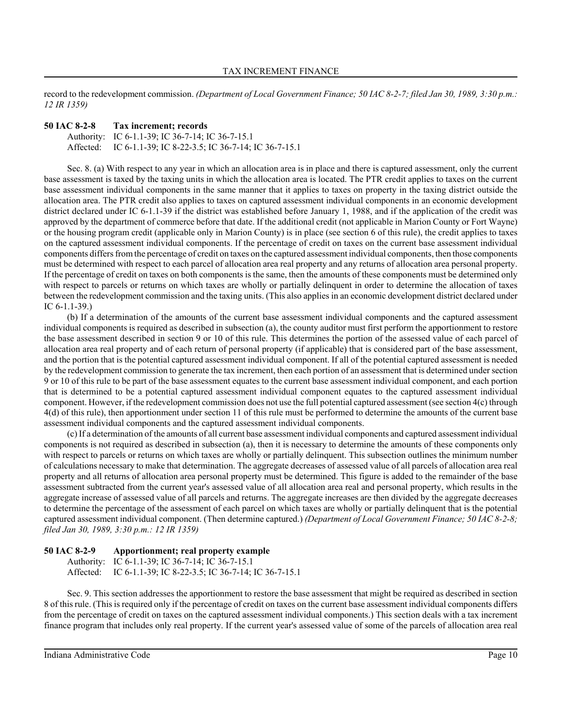record to the redevelopment commission. *(Department of Local Government Finance; 50 IAC 8-2-7; filed Jan 30, 1989, 3:30 p.m.: 12 IR 1359)*

# **50 IAC 8-2-8 Tax increment; records**

Authority: IC 6-1.1-39; IC 36-7-14; IC 36-7-15.1 Affected: IC 6-1.1-39; IC 8-22-3.5; IC 36-7-14; IC 36-7-15.1

Sec. 8. (a) With respect to any year in which an allocation area is in place and there is captured assessment, only the current base assessment is taxed by the taxing units in which the allocation area is located. The PTR credit applies to taxes on the current base assessment individual components in the same manner that it applies to taxes on property in the taxing district outside the allocation area. The PTR credit also applies to taxes on captured assessment individual components in an economic development district declared under IC 6-1.1-39 if the district was established before January 1, 1988, and if the application of the credit was approved by the department of commerce before that date. If the additional credit (not applicable in Marion County or Fort Wayne) or the housing program credit (applicable only in Marion County) is in place (see section 6 of this rule), the credit applies to taxes on the captured assessment individual components. If the percentage of credit on taxes on the current base assessment individual components differs from the percentage of credit on taxes on the captured assessment individual components, then those components must be determined with respect to each parcel of allocation area real property and any returns of allocation area personal property. If the percentage of credit on taxes on both components is the same, then the amounts of these components must be determined only with respect to parcels or returns on which taxes are wholly or partially delinquent in order to determine the allocation of taxes between the redevelopment commission and the taxing units. (This also applies in an economic development district declared under IC 6-1.1-39.)

(b) If a determination of the amounts of the current base assessment individual components and the captured assessment individual components is required as described in subsection (a), the county auditor must first perform the apportionment to restore the base assessment described in section 9 or 10 of this rule. This determines the portion of the assessed value of each parcel of allocation area real property and of each return of personal property (if applicable) that is considered part of the base assessment, and the portion that is the potential captured assessment individual component. If all of the potential captured assessment is needed by the redevelopment commission to generate the tax increment, then each portion of an assessment that is determined under section 9 or 10 of this rule to be part of the base assessment equates to the current base assessment individual component, and each portion that is determined to be a potential captured assessment individual component equates to the captured assessment individual component. However, if the redevelopment commission does not use the full potential captured assessment (see section 4(c) through 4(d) of this rule), then apportionment under section 11 of this rule must be performed to determine the amounts of the current base assessment individual components and the captured assessment individual components.

(c) If a determination of the amounts of all current base assessment individual components and captured assessment individual components is not required as described in subsection (a), then it is necessary to determine the amounts of these components only with respect to parcels or returns on which taxes are wholly or partially delinquent. This subsection outlines the minimum number of calculations necessary to make that determination. The aggregate decreases of assessed value of all parcels of allocation area real property and all returns of allocation area personal property must be determined. This figure is added to the remainder of the base assessment subtracted from the current year's assessed value of all allocation area real and personal property, which results in the aggregate increase of assessed value of all parcels and returns. The aggregate increases are then divided by the aggregate decreases to determine the percentage of the assessment of each parcel on which taxes are wholly or partially delinquent that is the potential captured assessment individual component. (Then determine captured.) *(Department of Local Government Finance; 50 IAC 8-2-8; filed Jan 30, 1989, 3:30 p.m.: 12 IR 1359)*

# **50 IAC 8-2-9 Apportionment; real property example**

Authority: IC 6-1.1-39; IC 36-7-14; IC 36-7-15.1 Affected: IC 6-1.1-39; IC 8-22-3.5; IC 36-7-14; IC 36-7-15.1

Sec. 9. This section addresses the apportionment to restore the base assessment that might be required as described in section 8 of this rule. (This is required only if the percentage of credit on taxes on the current base assessment individual components differs from the percentage of credit on taxes on the captured assessment individual components.) This section deals with a tax increment finance program that includes only real property. If the current year's assessed value of some of the parcels of allocation area real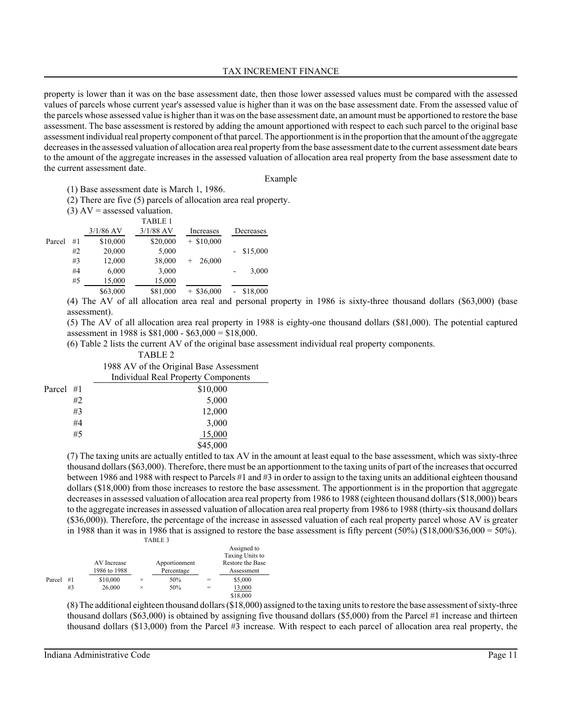### TAX INCREMENT FINANCE

property is lower than it was on the base assessment date, then those lower assessed values must be compared with the assessed values of parcels whose current year's assessed value is higher than it was on the base assessment date. From the assessed value of the parcels whose assessed value is higher than it was on the base assessment date, an amount must be apportioned to restore the base assessment. The base assessment is restored by adding the amount apportioned with respect to each such parcel to the original base assessment individual real property component of that parcel. The apportionment is in the proportion that the amount of the aggregate decreases in the assessed valuation of allocation area real property from the base assessment date to the current assessment date bears to the amount of the aggregate increases in the assessed valuation of allocation area real property from the base assessment date to the current assessment date.

#### Example

(1) Base assessment date is March 1, 1986.

(2) There are five (5) parcels of allocation area real property.

|  |  | $(3)$ AV = assessed valuation. |  |
|--|--|--------------------------------|--|
|--|--|--------------------------------|--|

|        |    |                                                          | <b>TABLE 1</b> |                  |           |
|--------|----|----------------------------------------------------------|----------------|------------------|-----------|
|        |    | $3/1/86$ AV                                              | $3/1/88$ AV    | Increases        | Decreases |
| Parcel | #1 | \$10,000                                                 | \$20,000       | $+$ \$10,000     |           |
|        | #2 | 20,000                                                   | 5,000          |                  | \$15,000  |
|        | #3 | 12,000                                                   | 38,000         | 26,000<br>$^{+}$ |           |
|        | #4 | 6,000                                                    | 3,000          |                  | 3,000     |
|        | #5 | 15,000                                                   | 15,000         |                  |           |
|        |    | \$63,000                                                 | \$81,000       | $+$ \$36,000     | \$18,000  |
|        |    | $(4)$ The AV of all ellection ance used and noncorrel as |                |                  |           |

(4) The AV of all allocation area real and personal property in 1986 is sixty-three thousand dollars (\$63,000) (base assessment).

(5) The AV of all allocation area real property in 1988 is eighty-one thousand dollars (\$81,000). The potential captured assessment in 1988 is \$81,000 - \$63,000 = \$18,000.

(6) Table 2 lists the current AV of the original base assessment individual real property components.

#### TABLE 2

1988 AV of the Original Base Assessment Individual Real Property Components

| Parcel #1 |    | \$10,000 |
|-----------|----|----------|
|           | #2 | 5,000    |
|           | #3 | 12,000   |
|           | #4 | 3,000    |
|           | #5 | 15,000   |
|           |    | \$45,000 |

(7) The taxing units are actually entitled to tax AV in the amount at least equal to the base assessment, which was sixty-three thousand dollars (\$63,000). Therefore, there must be an apportionment to the taxing units of part of the increases that occurred between 1986 and 1988 with respect to Parcels #1 and #3 in order to assign to the taxing units an additional eighteen thousand dollars (\$18,000) from those increases to restore the base assessment. The apportionment is in the proportion that aggregate decreases in assessed valuation of allocation area real property from 1986 to 1988 (eighteen thousand dollars (\$18,000)) bears to the aggregate increases in assessed valuation of allocation area real property from 1986 to 1988 (thirty-six thousand dollars (\$36,000)). Therefore, the percentage of the increase in assessed valuation of each real property parcel whose AV is greater in 1988 than it was in 1986 that is assigned to restore the base assessment is fifty percent  $(50\%)$  (\$18,000/\$36,000 = 50%). TABLE 3

|        |    | AV Increase<br>1986 to 1988 |   | Apportionment<br>Percentage |     | Assigned to<br>Taxing Units to<br>Restore the Base<br>Assessment |
|--------|----|-----------------------------|---|-----------------------------|-----|------------------------------------------------------------------|
| Parcel | #1 | \$10,000                    | × | 50%                         |     | \$5,000                                                          |
|        | #3 | 26,000                      | × | 50%                         | $=$ | 13,000                                                           |
|        |    |                             |   |                             |     | \$18,000                                                         |

(8) The additional eighteen thousand dollars (\$18,000) assigned to the taxing units to restore the base assessment of sixty-three thousand dollars (\$63,000) is obtained by assigning five thousand dollars (\$5,000) from the Parcel #1 increase and thirteen thousand dollars (\$13,000) from the Parcel #3 increase. With respect to each parcel of allocation area real property, the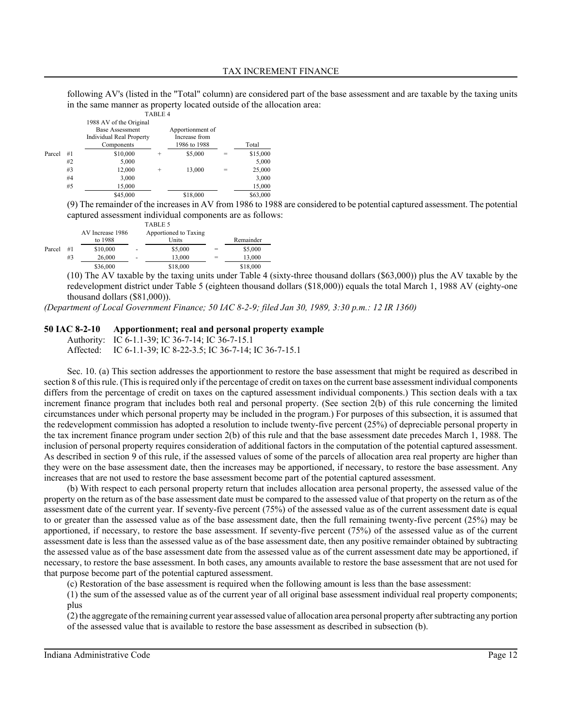following AV's (listed in the "Total" column) are considered part of the base assessment and are taxable by the taxing units in the same manner as property located outside of the allocation area:

|        |    |                                                                                                    | TABLE 4 |                                                   |     |          |
|--------|----|----------------------------------------------------------------------------------------------------|---------|---------------------------------------------------|-----|----------|
|        |    | 1988 AV of the Original<br><b>Base Assessment</b><br><b>Individual Real Property</b><br>Components |         | Apportionment of<br>Increase from<br>1986 to 1988 |     | Total    |
| Parcel | #1 | \$10,000                                                                                           | $\pm$   | \$5,000                                           | $=$ | \$15,000 |
|        | #2 | 5,000                                                                                              |         |                                                   |     | 5,000    |
|        | #3 | 12,000                                                                                             | $\pm$   | 13,000                                            | $=$ | 25,000   |
|        | #4 | 3,000                                                                                              |         |                                                   |     | 3,000    |
|        | #5 | 15,000                                                                                             |         |                                                   |     | 15,000   |
|        |    | \$45,000                                                                                           |         | \$18,000                                          |     | \$63,000 |

(9) The remainder of the increases in AV from 1986 to 1988 are considered to be potential captured assessment. The potential captured assessment individual components are as follows:

|        |    |                             |                | TABLE 5                        |     |           |
|--------|----|-----------------------------|----------------|--------------------------------|-----|-----------|
|        |    | AV Increase 1986<br>to 1988 |                | Apportioned to Taxing<br>Units |     | Remainder |
| Parcel | #1 | \$10,000                    | $\overline{a}$ | \$5,000                        | $=$ | \$5,000   |
|        | #3 | 26,000                      | -              | 13.000                         |     | 13.000    |
|        |    | \$36,000                    |                | \$18,000                       |     | \$18,000  |

(10) The AV taxable by the taxing units under Table 4 (sixty-three thousand dollars (\$63,000)) plus the AV taxable by the redevelopment district under Table 5 (eighteen thousand dollars (\$18,000)) equals the total March 1, 1988 AV (eighty-one thousand dollars (\$81,000)).

*(Department of Local Government Finance; 50 IAC 8-2-9; filed Jan 30, 1989, 3:30 p.m.: 12 IR 1360)*

### **50 IAC 8-2-10 Apportionment; real and personal property example**

Authority: IC 6-1.1-39; IC 36-7-14; IC 36-7-15.1 Affected: IC 6-1.1-39; IC 8-22-3.5; IC 36-7-14; IC 36-7-15.1

Sec. 10. (a) This section addresses the apportionment to restore the base assessment that might be required as described in section 8 of this rule. (This is required only if the percentage of credit on taxes on the current base assessment individual components differs from the percentage of credit on taxes on the captured assessment individual components.) This section deals with a tax increment finance program that includes both real and personal property. (See section 2(b) of this rule concerning the limited circumstances under which personal property may be included in the program.) For purposes of this subsection, it is assumed that the redevelopment commission has adopted a resolution to include twenty-five percent (25%) of depreciable personal property in the tax increment finance program under section 2(b) of this rule and that the base assessment date precedes March 1, 1988. The inclusion of personal property requires consideration of additional factors in the computation of the potential captured assessment. As described in section 9 of this rule, if the assessed values of some of the parcels of allocation area real property are higher than they were on the base assessment date, then the increases may be apportioned, if necessary, to restore the base assessment. Any increases that are not used to restore the base assessment become part of the potential captured assessment.

(b) With respect to each personal property return that includes allocation area personal property, the assessed value of the property on the return as of the base assessment date must be compared to the assessed value of that property on the return as of the assessment date of the current year. If seventy-five percent (75%) of the assessed value as of the current assessment date is equal to or greater than the assessed value as of the base assessment date, then the full remaining twenty-five percent (25%) may be apportioned, if necessary, to restore the base assessment. If seventy-five percent (75%) of the assessed value as of the current assessment date is less than the assessed value as of the base assessment date, then any positive remainder obtained by subtracting the assessed value as of the base assessment date from the assessed value as of the current assessment date may be apportioned, if necessary, to restore the base assessment. In both cases, any amounts available to restore the base assessment that are not used for that purpose become part of the potential captured assessment.

(c) Restoration of the base assessment is required when the following amount is less than the base assessment:

(1) the sum of the assessed value as of the current year of all original base assessment individual real property components; plus

(2) the aggregate of the remaining current year assessed value of allocation area personal property after subtracting any portion of the assessed value that is available to restore the base assessment as described in subsection (b).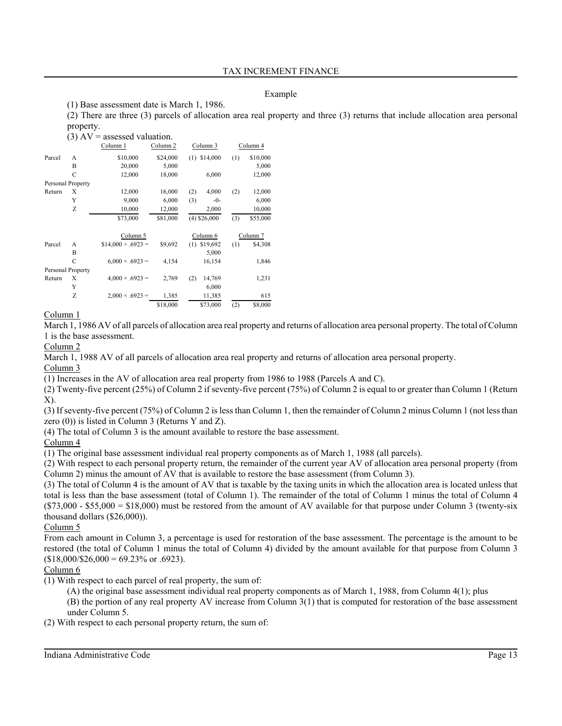# Example

(1) Base assessment date is March 1, 1986.

(2) There are three (3) parcels of allocation area real property and three (3) returns that include allocation area personal property.

|        |                   | $(3)$ AV = assessed valuation. |          |                 |     |          |
|--------|-------------------|--------------------------------|----------|-----------------|-----|----------|
|        |                   | Column 1                       | Column 2 | Column 3        |     | Column 4 |
| Parcel | A                 | \$10,000                       | \$24,000 | \$14,000<br>(1) | (1) | \$10,000 |
|        | B                 | 20,000                         | 5,000    |                 |     | 5,000    |
|        | C                 | 12,000                         | 18,000   | 6,000           |     | 12,000   |
|        | Personal Property |                                |          |                 |     |          |
| Return | Χ                 | 12,000                         | 16,000   | (2)<br>4,000    | (2) | 12,000   |
|        | Y                 | 9,000                          | 6,000    | (3)<br>$-0-$    |     | 6,000    |
|        | Z                 | 10,000                         | 12,000   | 2,000           |     | 10,000   |
|        |                   | \$73,000                       | \$81,000 | $(4)$ \$26,000  | (3) | \$55,000 |
|        |                   | Column 5                       |          | Column 6        |     | Column 7 |
| Parcel | A                 | $$14,000 \times .6923 =$       | \$9,692  | $(1)$ \$19,692  | (1) | \$4,308  |
|        | B                 |                                |          | 5,000           |     |          |
|        | C                 | $6.000 \times .6923 =$         | 4,154    | 16,154          |     | 1,846    |
|        | Personal Property |                                |          |                 |     |          |
| Return | Χ                 | $4,000 \times .6923 =$         | 2,769    | (2)<br>14,769   |     | 1,231    |
|        | Y                 |                                |          | 6,000           |     |          |
|        | Z                 | $2,000 \times .6923 =$         | 1,385    | 11,385          |     | 615      |
|        |                   |                                | \$18,000 | \$73,000        | (2) | \$8,000  |

# Column 1

March 1, 1986 AV of all parcels of allocation area real property and returns of allocation area personal property. The total of Column 1 is the base assessment.

Column 2

March 1, 1988 AV of all parcels of allocation area real property and returns of allocation area personal property.

Column 3

(1) Increases in the AV of allocation area real property from 1986 to 1988 (Parcels A and C).

(2) Twenty-five percent (25%) of Column 2 if seventy-five percent (75%) of Column 2 is equal to or greater than Column 1 (Return X).

(3) If seventy-five percent (75%) of Column 2 is less than Column 1, then the remainder of Column 2 minus Column 1 (not less than zero (0)) is listed in Column 3 (Returns Y and Z).

(4) The total of Column 3 is the amount available to restore the base assessment.

# Column 4

(1) The original base assessment individual real property components as of March 1, 1988 (all parcels).

(2) With respect to each personal property return, the remainder of the current year AV of allocation area personal property (from Column 2) minus the amount of AV that is available to restore the base assessment (from Column 3).

(3) The total of Column 4 is the amount of AV that is taxable by the taxing units in which the allocation area is located unless that total is less than the base assessment (total of Column 1). The remainder of the total of Column 1 minus the total of Column 4  $(S73,000 - S55,000 = S18,000)$  must be restored from the amount of AV available for that purpose under Column 3 (twenty-six thousand dollars (\$26,000)).

Column 5

From each amount in Column 3, a percentage is used for restoration of the base assessment. The percentage is the amount to be restored (the total of Column 1 minus the total of Column 4) divided by the amount available for that purpose from Column 3  $$18,000/\$26,000 = 69.23\% \text{ or } .6923$ .

# Column 6

- (1) With respect to each parcel of real property, the sum of:
	- (A) the original base assessment individual real property components as of March 1, 1988, from Column 4(1); plus

(B) the portion of any real property AV increase from Column 3(1) that is computed for restoration of the base assessment under Column 5.

(2) With respect to each personal property return, the sum of: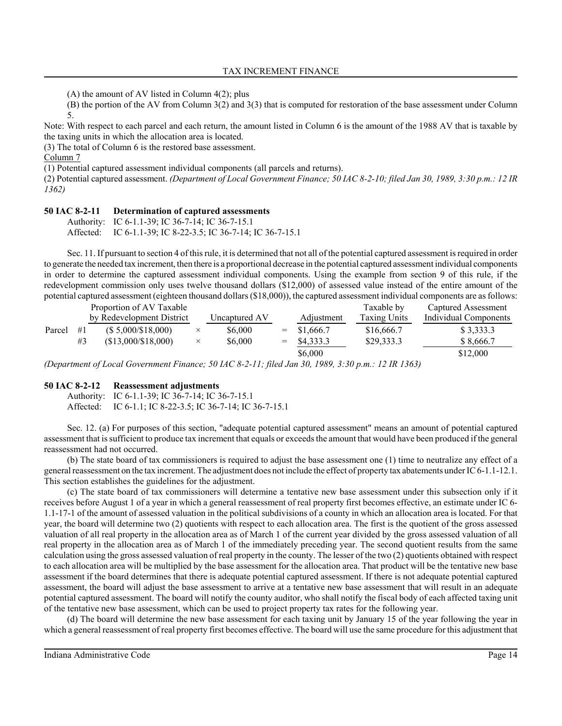(A) the amount of AV listed in Column 4(2); plus

(B) the portion of the AV from Column 3(2) and 3(3) that is computed for restoration of the base assessment under Column 5.

Note: With respect to each parcel and each return, the amount listed in Column 6 is the amount of the 1988 AV that is taxable by the taxing units in which the allocation area is located.

(3) The total of Column 6 is the restored base assessment.

Column 7

(1) Potential captured assessment individual components (all parcels and returns).

(2) Potential captured assessment. *(Department of Local Government Finance; 50 IAC 8-2-10; filed Jan 30, 1989, 3:30 p.m.: 12 IR 1362)*

### **50 IAC 8-2-11 Determination of captured assessments**

Authority: IC 6-1.1-39; IC 36-7-14; IC 36-7-15.1 Affected: IC 6-1.1-39; IC 8-22-3.5; IC 36-7-14; IC 36-7-15.1

Sec. 11. If pursuant to section 4 of this rule, it is determined that not all of the potential captured assessment is required in order to generate the needed tax increment, then there is a proportional decrease in the potential captured assessment individual components in order to determine the captured assessment individual components. Using the example from section 9 of this rule, if the redevelopment commission only uses twelve thousand dollars (\$12,000) of assessed value instead of the entire amount of the potential captured assessment (eighteen thousand dollars (\$18,000)), the captured assessment individual components are as follows:

|        |    | Proportion of AV Taxable     |          |               |     |               | Taxable by          | Captured Assessment   |
|--------|----|------------------------------|----------|---------------|-----|---------------|---------------------|-----------------------|
|        |    | by Redevelopment District    |          | Uncaptured AV |     | Adjustment    | <b>Taxing Units</b> | Individual Components |
| Parcel | #1 | $($ 5,000 \text{/} $18,000)$ | $\times$ | \$6,000       |     | $=$ \$1,666.7 | \$16,666.7          | \$3,333.3             |
|        | #3 | (\$13,000/\$18,000)          | $\times$ | \$6,000       | $=$ | \$4,333.3     | \$29,333.3          | \$8,666.7             |
|        |    |                              |          |               |     | \$6,000       |                     | \$12,000              |

*(Department of Local Government Finance; 50 IAC 8-2-11; filed Jan 30, 1989, 3:30 p.m.: 12 IR 1363)*

# **50 IAC 8-2-12 Reassessment adjustments**

Authority: IC 6-1.1-39; IC 36-7-14; IC 36-7-15.1 Affected: IC 6-1.1; IC 8-22-3.5; IC 36-7-14; IC 36-7-15.1

Sec. 12. (a) For purposes of this section, "adequate potential captured assessment" means an amount of potential captured assessment that is sufficient to produce tax increment that equals or exceeds the amount that would have been produced if the general reassessment had not occurred.

(b) The state board of tax commissioners is required to adjust the base assessment one (1) time to neutralize any effect of a general reassessment on the tax increment. The adjustment does not include the effect of property tax abatements under IC 6-1.1-12.1. This section establishes the guidelines for the adjustment.

(c) The state board of tax commissioners will determine a tentative new base assessment under this subsection only if it receives before August 1 of a year in which a general reassessment of real property first becomes effective, an estimate under IC 6- 1.1-17-1 of the amount of assessed valuation in the political subdivisions of a county in which an allocation area is located. For that year, the board will determine two (2) quotients with respect to each allocation area. The first is the quotient of the gross assessed valuation of all real property in the allocation area as of March 1 of the current year divided by the gross assessed valuation of all real property in the allocation area as of March 1 of the immediately preceding year. The second quotient results from the same calculation using the gross assessed valuation of real property in the county. The lesser of the two (2) quotients obtained with respect to each allocation area will be multiplied by the base assessment for the allocation area. That product will be the tentative new base assessment if the board determines that there is adequate potential captured assessment. If there is not adequate potential captured assessment, the board will adjust the base assessment to arrive at a tentative new base assessment that will result in an adequate potential captured assessment. The board will notify the county auditor, who shall notify the fiscal body of each affected taxing unit of the tentative new base assessment, which can be used to project property tax rates for the following year.

(d) The board will determine the new base assessment for each taxing unit by January 15 of the year following the year in which a general reassessment of real property first becomes effective. The board will use the same procedure for this adjustment that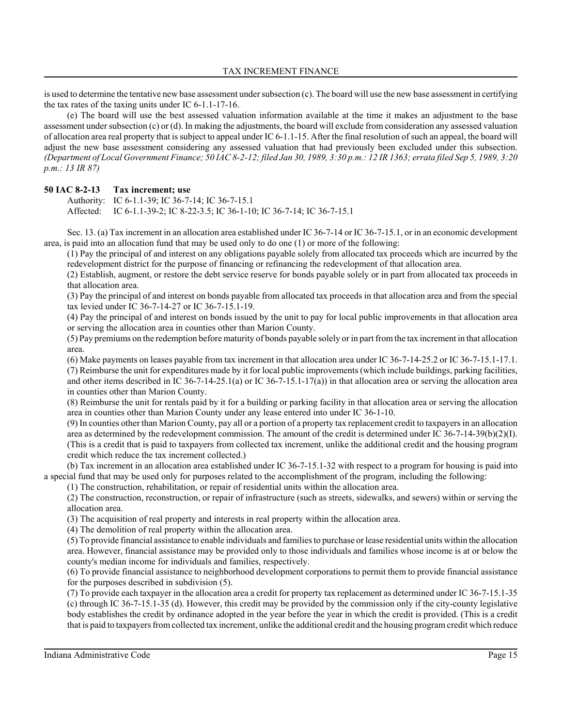is used to determine the tentative new base assessment under subsection (c). The board will use the new base assessment in certifying the tax rates of the taxing units under IC 6-1.1-17-16.

(e) The board will use the best assessed valuation information available at the time it makes an adjustment to the base assessment under subsection  $(c)$  or  $(d)$ . In making the adjustments, the board will exclude from consideration any assessed valuation of allocation area real property that is subject to appeal under IC 6-1.1-15. After the final resolution of such an appeal, the board will adjust the new base assessment considering any assessed valuation that had previously been excluded under this subsection. *(Department of Local Government Finance; 50 IAC 8-2-12; filed Jan 30, 1989, 3:30 p.m.: 12 IR 1363; errata filed Sep 5, 1989, 3:20 p.m.: 13 IR 87)*

# **50 IAC 8-2-13 Tax increment; use**

Authority: IC 6-1.1-39; IC 36-7-14; IC 36-7-15.1 Affected: IC 6-1.1-39-2; IC 8-22-3.5; IC 36-1-10; IC 36-7-14; IC 36-7-15.1

Sec. 13. (a) Tax increment in an allocation area established under IC 36-7-14 or IC 36-7-15.1, or in an economic development area, is paid into an allocation fund that may be used only to do one (1) or more of the following:

(1) Pay the principal of and interest on any obligations payable solely from allocated tax proceeds which are incurred by the redevelopment district for the purpose of financing or refinancing the redevelopment of that allocation area.

(2) Establish, augment, or restore the debt service reserve for bonds payable solely or in part from allocated tax proceeds in that allocation area.

(3) Pay the principal of and interest on bonds payable from allocated tax proceeds in that allocation area and from the special tax levied under IC 36-7-14-27 or IC 36-7-15.1-19.

(4) Pay the principal of and interest on bonds issued by the unit to pay for local public improvements in that allocation area or serving the allocation area in counties other than Marion County.

(5) Pay premiums on the redemption before maturity of bonds payable solely or in part from the tax increment in that allocation area.

(6) Make payments on leases payable from tax increment in that allocation area under IC 36-7-14-25.2 or IC 36-7-15.1-17.1. (7) Reimburse the unit for expenditures made by it for local public improvements (which include buildings, parking facilities, and other items described in IC 36-7-14-25.1(a) or IC 36-7-15.1-17(a)) in that allocation area or serving the allocation area in counties other than Marion County.

(8) Reimburse the unit for rentals paid by it for a building or parking facility in that allocation area or serving the allocation area in counties other than Marion County under any lease entered into under IC 36-1-10.

(9) In counties other than Marion County, pay all or a portion of a property tax replacement credit to taxpayers in an allocation area as determined by the redevelopment commission. The amount of the credit is determined under IC 36-7-14-39(b)(2)(I). (This is a credit that is paid to taxpayers from collected tax increment, unlike the additional credit and the housing program credit which reduce the tax increment collected.)

(b) Tax increment in an allocation area established under IC 36-7-15.1-32 with respect to a program for housing is paid into a special fund that may be used only for purposes related to the accomplishment of the program, including the following:

(1) The construction, rehabilitation, or repair of residential units within the allocation area.

(2) The construction, reconstruction, or repair of infrastructure (such as streets, sidewalks, and sewers) within or serving the allocation area.

(3) The acquisition of real property and interests in real property within the allocation area.

(4) The demolition of real property within the allocation area.

(5) To provide financial assistance to enable individuals and families to purchase or lease residential units within the allocation area. However, financial assistance may be provided only to those individuals and families whose income is at or below the county's median income for individuals and families, respectively.

(6) To provide financial assistance to neighborhood development corporations to permit them to provide financial assistance for the purposes described in subdivision (5).

(7) To provide each taxpayer in the allocation area a credit for property tax replacement as determined under IC 36-7-15.1-35 (c) through IC 36-7-15.1-35 (d). However, this credit may be provided by the commission only if the city-county legislative body establishes the credit by ordinance adopted in the year before the year in which the credit is provided. (This is a credit that is paid to taxpayers from collected tax increment, unlike the additional credit and the housing program credit which reduce